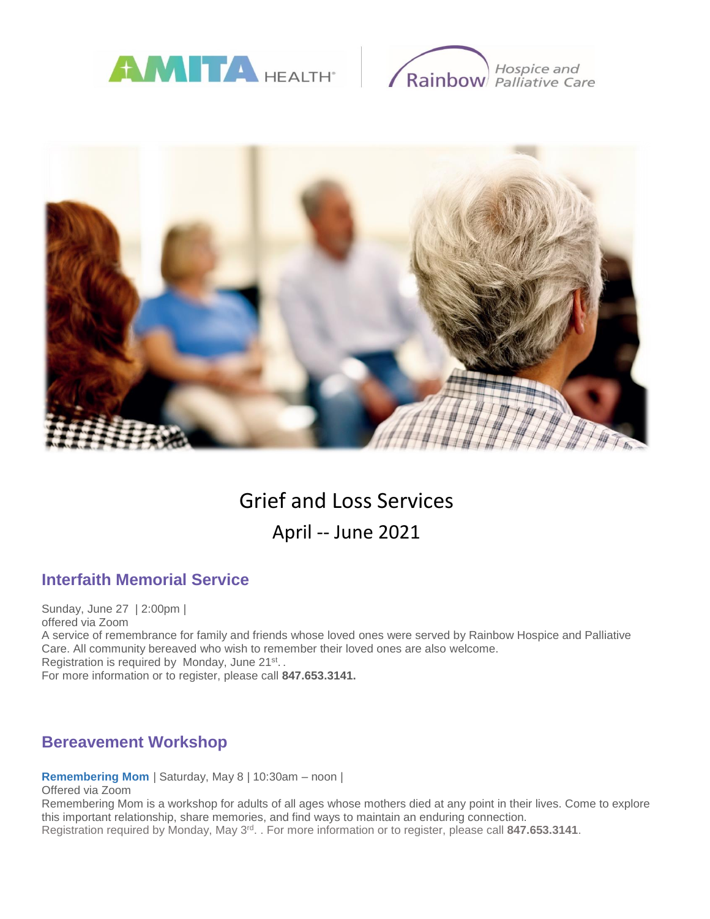





# Grief and Loss Services April -- June 2021

# **Interfaith Memorial Service**

Sunday, June 27 | 2:00pm | offered via Zoom A service of remembrance for family and friends whose loved ones were served by Rainbow Hospice and Palliative Care. All community bereaved who wish to remember their loved ones are also welcome. Registration is required by Monday, June 21<sup>st</sup>.. For more information or to register, please call **847.653.3141.**

# **Bereavement Workshop**

**Remembering Mom** | Saturday, May 8 | 10:30am – noon |

Offered via Zoom

Remembering Mom is a workshop for adults of all ages whose mothers died at any point in their lives. Come to explore this important relationship, share memories, and find ways to maintain an enduring connection. Registration required by Monday, May 3<sup>rd</sup>. . For more information or to register, please call 847.653.3141.